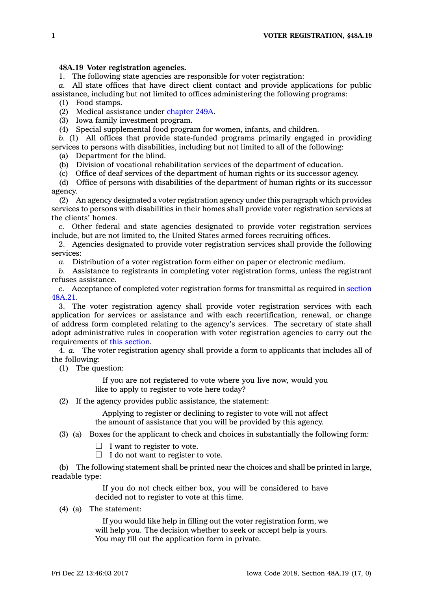## **48A.19 Voter registration agencies.**

1. The following state agencies are responsible for voter registration:

*a.* All state offices that have direct client contact and provide applications for public assistance, including but not limited to offices administering the following programs:

(1) Food stamps.

(2) Medical assistance under [chapter](https://www.legis.iowa.gov/docs/code//249A.pdf) 249A.

(3) Iowa family investment program.

(4) Special supplemental food program for women, infants, and children.

*b.* (1) All offices that provide state-funded programs primarily engaged in providing services to persons with disabilities, including but not limited to all of the following:

(a) Department for the blind.

(b) Division of vocational rehabilitation services of the department of education.

(c) Office of deaf services of the department of human rights or its successor agency.

(d) Office of persons with disabilities of the department of human rights or its successor agency.

(2) An agency designated <sup>a</sup> voter registration agency under this paragraph which provides services to persons with disabilities in their homes shall provide voter registration services at the clients' homes.

*c.* Other federal and state agencies designated to provide voter registration services include, but are not limited to, the United States armed forces recruiting offices.

2. Agencies designated to provide voter registration services shall provide the following services:

*a.* Distribution of <sup>a</sup> voter registration form either on paper or electronic medium.

*b.* Assistance to registrants in completing voter registration forms, unless the registrant refuses assistance.

*c.* Acceptance of completed voter registration forms for transmittal as required in [section](https://www.legis.iowa.gov/docs/code/48A.21.pdf) [48A.21](https://www.legis.iowa.gov/docs/code/48A.21.pdf).

3. The voter registration agency shall provide voter registration services with each application for services or assistance and with each recertification, renewal, or change of address form completed relating to the agency's services. The secretary of state shall adopt administrative rules in cooperation with voter registration agencies to carry out the requirements of this [section](https://www.legis.iowa.gov/docs/code/48A.19.pdf).

4. *a.* The voter registration agency shall provide <sup>a</sup> form to applicants that includes all of the following:

(1) The question:

If you are not registered to vote where you live now, would you like to apply to register to vote here today?

(2) If the agency provides public assistance, the statement:

Applying to register or declining to register to vote will not affect the amount of assistance that you will be provided by this agency.

(3) (a) Boxes for the applicant to check and choices in substantially the following form:

 $\Box$  I want to register to vote.

 $\Box$  I do not want to register to vote.

(b) The following statement shall be printed near the choices and shall be printed in large, readable type:

> If you do not check either box, you will be considered to have decided not to register to vote at this time.

(4) (a) The statement:

If you would like help in filling out the voter registration form, we will help you. The decision whether to seek or accept help is yours. You may fill out the application form in private.